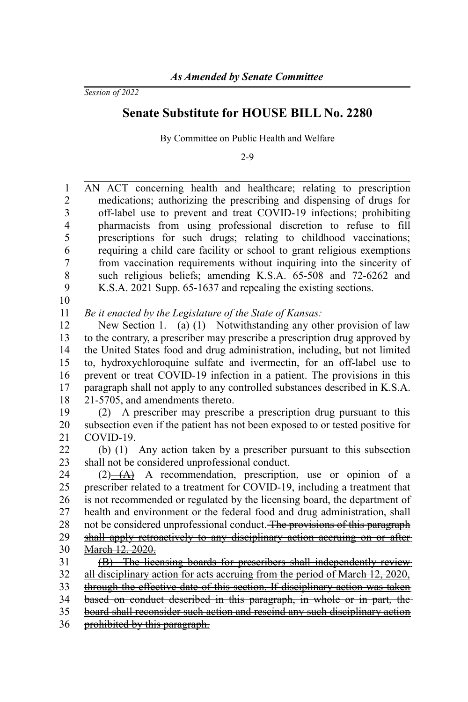*Session of 2022*

## **Senate Substitute for HOUSE BILL No. 2280**

By Committee on Public Health and Welfare

2-9

AN ACT concerning health and healthcare; relating to prescription medications; authorizing the prescribing and dispensing of drugs for off-label use to prevent and treat COVID-19 infections; prohibiting pharmacists from using professional discretion to refuse to fill prescriptions for such drugs; relating to childhood vaccinations; requiring a child care facility or school to grant religious exemptions from vaccination requirements without inquiring into the sincerity of such religious beliefs; amending K.S.A. 65-508 and 72-6262 and K.S.A. 2021 Supp. 65-1637 and repealing the existing sections. 1 2 3 4 5 6 7 8 9

10

*Be it enacted by the Legislature of the State of Kansas:* 11

New Section 1. (a) (1) Notwithstanding any other provision of law to the contrary, a prescriber may prescribe a prescription drug approved by the United States food and drug administration, including, but not limited to, hydroxychloroquine sulfate and ivermectin, for an off-label use to prevent or treat COVID-19 infection in a patient. The provisions in this paragraph shall not apply to any controlled substances described in K.S.A. 21-5705, and amendments thereto. 12 13 14 15 16 17 18

(2) A prescriber may prescribe a prescription drug pursuant to this subsection even if the patient has not been exposed to or tested positive for COVID-19. 19 20 21

(b) (1) Any action taken by a prescriber pursuant to this subsection shall not be considered unprofessional conduct. 22 23

 $(2)$  (A) A recommendation, prescription, use or opinion of a prescriber related to a treatment for COVID-19, including a treatment that is not recommended or regulated by the licensing board, the department of health and environment or the federal food and drug administration, shall not be considered unprofessional conduct. The provisions of this paragraph shall apply retroactively to any disciplinary action accruing on or after-March 12, 2020. 24 25 26 27 28 29 30

 (B) The licensing boards for prescribers shall independently review all disciplinary action for acts accruing from the period of March 12, 2020, 31 32

through the effective date of this section. If disciplinary action was taken 33

based on conduct described in this paragraph, in whole or in part, the 34

board shall reconsider such action and rescind any such disciplinary action 35

prohibited by this paragraph. 36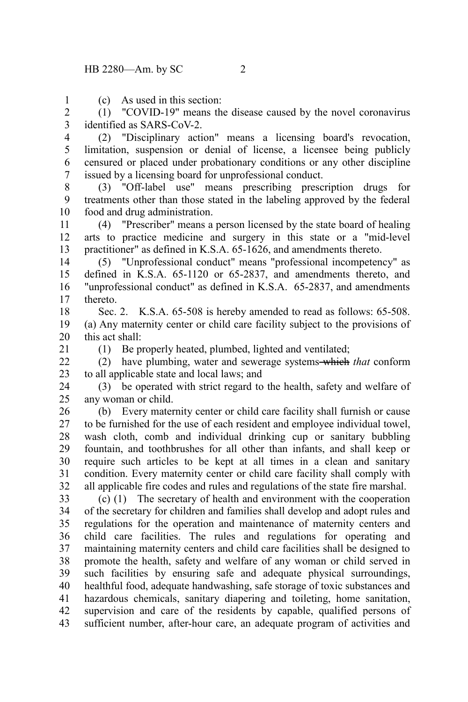(c) As used in this section: 1

(1) "COVID-19" means the disease caused by the novel coronavirus identified as SARS-CoV-2. 2 3

(2) "Disciplinary action" means a licensing board's revocation, limitation, suspension or denial of license, a licensee being publicly censured or placed under probationary conditions or any other discipline issued by a licensing board for unprofessional conduct. 4 5 6 7

(3) "Off-label use" means prescribing prescription drugs for treatments other than those stated in the labeling approved by the federal food and drug administration. 8 9 10

(4) "Prescriber" means a person licensed by the state board of healing arts to practice medicine and surgery in this state or a "mid-level practitioner" as defined in K.S.A. 65-1626, and amendments thereto. 11 12 13

(5) "Unprofessional conduct" means "professional incompetency" as defined in K.S.A. 65-1120 or 65-2837, and amendments thereto, and "unprofessional conduct" as defined in K.S.A. 65-2837, and amendments thereto. 14 15 16 17

Sec. 2. K.S.A. 65-508 is hereby amended to read as follows: 65-508. (a) Any maternity center or child care facility subject to the provisions of this act shall: 18 19 20

(1) Be properly heated, plumbed, lighted and ventilated;

(2) have plumbing, water and sewerage systems which *that* conform to all applicable state and local laws; and  $22$ 23

(3) be operated with strict regard to the health, safety and welfare of any woman or child. 24 25

(b) Every maternity center or child care facility shall furnish or cause to be furnished for the use of each resident and employee individual towel, wash cloth, comb and individual drinking cup or sanitary bubbling fountain, and toothbrushes for all other than infants, and shall keep or require such articles to be kept at all times in a clean and sanitary condition. Every maternity center or child care facility shall comply with all applicable fire codes and rules and regulations of the state fire marshal. 26 27 28 29 30 31 32

(c) (1) The secretary of health and environment with the cooperation of the secretary for children and families shall develop and adopt rules and regulations for the operation and maintenance of maternity centers and child care facilities. The rules and regulations for operating and maintaining maternity centers and child care facilities shall be designed to promote the health, safety and welfare of any woman or child served in such facilities by ensuring safe and adequate physical surroundings, healthful food, adequate handwashing, safe storage of toxic substances and hazardous chemicals, sanitary diapering and toileting, home sanitation, supervision and care of the residents by capable, qualified persons of sufficient number, after-hour care, an adequate program of activities and 33 34 35 36 37 38 39 40 41 42 43

21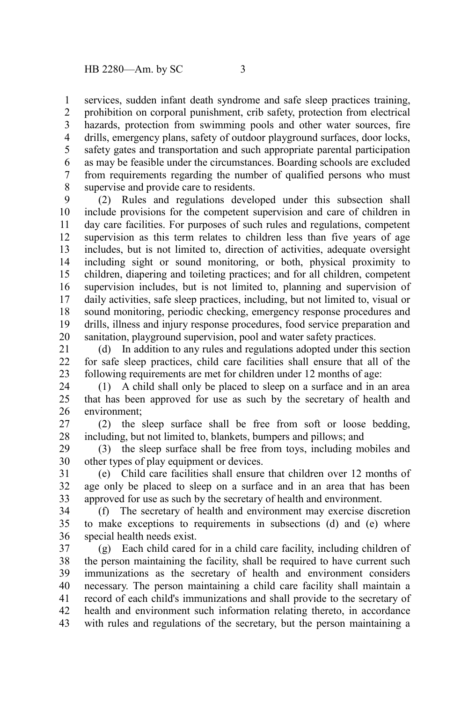services, sudden infant death syndrome and safe sleep practices training, prohibition on corporal punishment, crib safety, protection from electrical hazards, protection from swimming pools and other water sources, fire drills, emergency plans, safety of outdoor playground surfaces, door locks, safety gates and transportation and such appropriate parental participation as may be feasible under the circumstances. Boarding schools are excluded from requirements regarding the number of qualified persons who must supervise and provide care to residents. 1 2 3 4 5 6 7 8

(2) Rules and regulations developed under this subsection shall include provisions for the competent supervision and care of children in day care facilities. For purposes of such rules and regulations, competent supervision as this term relates to children less than five years of age includes, but is not limited to, direction of activities, adequate oversight including sight or sound monitoring, or both, physical proximity to children, diapering and toileting practices; and for all children, competent supervision includes, but is not limited to, planning and supervision of daily activities, safe sleep practices, including, but not limited to, visual or sound monitoring, periodic checking, emergency response procedures and drills, illness and injury response procedures, food service preparation and sanitation, playground supervision, pool and water safety practices. 9 10 11 12 13 14 15 16 17 18 19 20

(d) In addition to any rules and regulations adopted under this section for safe sleep practices, child care facilities shall ensure that all of the following requirements are met for children under 12 months of age: 21 22 23

(1) A child shall only be placed to sleep on a surface and in an area that has been approved for use as such by the secretary of health and environment; 24 25 26

(2) the sleep surface shall be free from soft or loose bedding, including, but not limited to, blankets, bumpers and pillows; and 27 28

(3) the sleep surface shall be free from toys, including mobiles and other types of play equipment or devices. 29 30

(e) Child care facilities shall ensure that children over 12 months of age only be placed to sleep on a surface and in an area that has been approved for use as such by the secretary of health and environment. 31 32 33

(f) The secretary of health and environment may exercise discretion to make exceptions to requirements in subsections (d) and (e) where special health needs exist. 34 35 36

(g) Each child cared for in a child care facility, including children of the person maintaining the facility, shall be required to have current such immunizations as the secretary of health and environment considers necessary. The person maintaining a child care facility shall maintain a record of each child's immunizations and shall provide to the secretary of health and environment such information relating thereto, in accordance with rules and regulations of the secretary, but the person maintaining a 37 38 39 40 41 42 43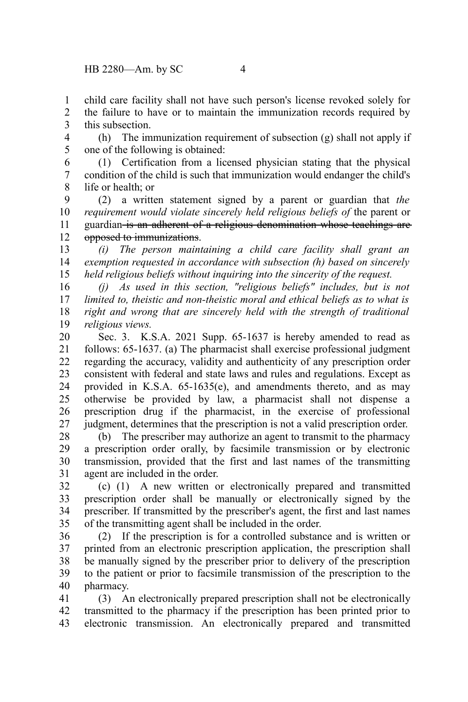child care facility shall not have such person's license revoked solely for the failure to have or to maintain the immunization records required by this subsection. 1  $\mathcal{L}$ 3

(h) The immunization requirement of subsection (g) shall not apply if one of the following is obtained: 4 5

(1) Certification from a licensed physician stating that the physical condition of the child is such that immunization would endanger the child's life or health; or 6 7 8

(2) a written statement signed by a parent or guardian that *the requirement would violate sincerely held religious beliefs of* the parent or guardian is an adherent of a religious denomination whose teachings are opposed to immunizations. 9 10 11 12

*(i) The person maintaining a child care facility shall grant an exemption requested in accordance with subsection (h) based on sincerely held religious beliefs without inquiring into the sincerity of the request.* 13 14 15

*(j) As used in this section, "religious beliefs" includes, but is not limited to, theistic and non-theistic moral and ethical beliefs as to what is right and wrong that are sincerely held with the strength of traditional religious views.* 16 17 18 19

Sec. 3. K.S.A. 2021 Supp. 65-1637 is hereby amended to read as follows: 65-1637. (a) The pharmacist shall exercise professional judgment regarding the accuracy, validity and authenticity of any prescription order consistent with federal and state laws and rules and regulations. Except as provided in K.S.A. 65-1635(e), and amendments thereto, and as may otherwise be provided by law, a pharmacist shall not dispense a prescription drug if the pharmacist, in the exercise of professional judgment, determines that the prescription is not a valid prescription order. 20 21 22 23 24 25 26 27

(b) The prescriber may authorize an agent to transmit to the pharmacy a prescription order orally, by facsimile transmission or by electronic transmission, provided that the first and last names of the transmitting agent are included in the order. 28 29 30 31

(c) (1) A new written or electronically prepared and transmitted prescription order shall be manually or electronically signed by the prescriber. If transmitted by the prescriber's agent, the first and last names of the transmitting agent shall be included in the order. 32 33 34 35

(2) If the prescription is for a controlled substance and is written or printed from an electronic prescription application, the prescription shall be manually signed by the prescriber prior to delivery of the prescription to the patient or prior to facsimile transmission of the prescription to the pharmacy. 36 37 38 39 40

(3) An electronically prepared prescription shall not be electronically transmitted to the pharmacy if the prescription has been printed prior to electronic transmission. An electronically prepared and transmitted 41 42 43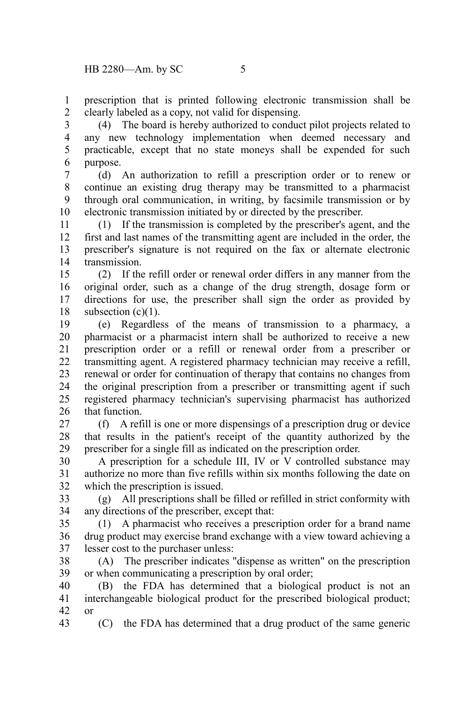prescription that is printed following electronic transmission shall be clearly labeled as a copy, not valid for dispensing. 1 2

(4) The board is hereby authorized to conduct pilot projects related to any new technology implementation when deemed necessary and practicable, except that no state moneys shall be expended for such purpose. 3 4 5 6

(d) An authorization to refill a prescription order or to renew or continue an existing drug therapy may be transmitted to a pharmacist through oral communication, in writing, by facsimile transmission or by electronic transmission initiated by or directed by the prescriber. 7 8 9 10

(1) If the transmission is completed by the prescriber's agent, and the first and last names of the transmitting agent are included in the order, the prescriber's signature is not required on the fax or alternate electronic transmission. 11 12 13 14

(2) If the refill order or renewal order differs in any manner from the original order, such as a change of the drug strength, dosage form or directions for use, the prescriber shall sign the order as provided by subsection  $(c)(1)$ . 15 16 17 18

(e) Regardless of the means of transmission to a pharmacy, a pharmacist or a pharmacist intern shall be authorized to receive a new prescription order or a refill or renewal order from a prescriber or transmitting agent. A registered pharmacy technician may receive a refill, renewal or order for continuation of therapy that contains no changes from the original prescription from a prescriber or transmitting agent if such registered pharmacy technician's supervising pharmacist has authorized that function. 19 20 21 22 23 24 25 26

(f) A refill is one or more dispensings of a prescription drug or device that results in the patient's receipt of the quantity authorized by the prescriber for a single fill as indicated on the prescription order. 27 28 29

A prescription for a schedule III, IV or V controlled substance may authorize no more than five refills within six months following the date on which the prescription is issued. 30 31 32

(g) All prescriptions shall be filled or refilled in strict conformity with any directions of the prescriber, except that: 33 34

(1) A pharmacist who receives a prescription order for a brand name drug product may exercise brand exchange with a view toward achieving a lesser cost to the purchaser unless: 35 36 37

(A) The prescriber indicates "dispense as written" on the prescription or when communicating a prescription by oral order; 38 39

(B) the FDA has determined that a biological product is not an interchangeable biological product for the prescribed biological product; or 40 41 42

(C) the FDA has determined that a drug product of the same generic 43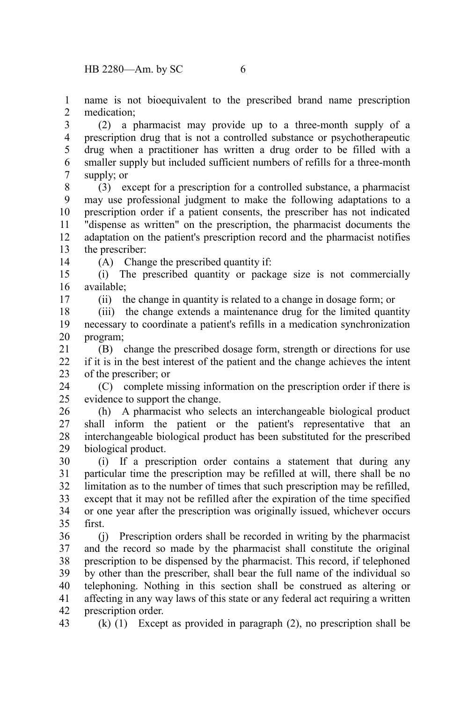name is not bioequivalent to the prescribed brand name prescription medication; 1 2

(2) a pharmacist may provide up to a three-month supply of a prescription drug that is not a controlled substance or psychotherapeutic drug when a practitioner has written a drug order to be filled with a smaller supply but included sufficient numbers of refills for a three-month supply; or 3 4 5 6 7

(3) except for a prescription for a controlled substance, a pharmacist may use professional judgment to make the following adaptations to a prescription order if a patient consents, the prescriber has not indicated "dispense as written" on the prescription, the pharmacist documents the adaptation on the patient's prescription record and the pharmacist notifies the prescriber: 8 9 10 11 12 13

(A) Change the prescribed quantity if:

(i) The prescribed quantity or package size is not commercially available; 15 16

(ii) the change in quantity is related to a change in dosage form; or

(iii) the change extends a maintenance drug for the limited quantity necessary to coordinate a patient's refills in a medication synchronization program; 18 19 20

(B) change the prescribed dosage form, strength or directions for use if it is in the best interest of the patient and the change achieves the intent of the prescriber; or 21 22 23

(C) complete missing information on the prescription order if there is evidence to support the change. 24 25

(h) A pharmacist who selects an interchangeable biological product shall inform the patient or the patient's representative that an interchangeable biological product has been substituted for the prescribed biological product. 26 27 28 29

(i) If a prescription order contains a statement that during any particular time the prescription may be refilled at will, there shall be no limitation as to the number of times that such prescription may be refilled, except that it may not be refilled after the expiration of the time specified or one year after the prescription was originally issued, whichever occurs first. 30 31 32 33 34 35

(j) Prescription orders shall be recorded in writing by the pharmacist and the record so made by the pharmacist shall constitute the original prescription to be dispensed by the pharmacist. This record, if telephoned by other than the prescriber, shall bear the full name of the individual so telephoning. Nothing in this section shall be construed as altering or affecting in any way laws of this state or any federal act requiring a written prescription order. 36 37 38 39 40 41 42

43

14

17

(k) (1) Except as provided in paragraph (2), no prescription shall be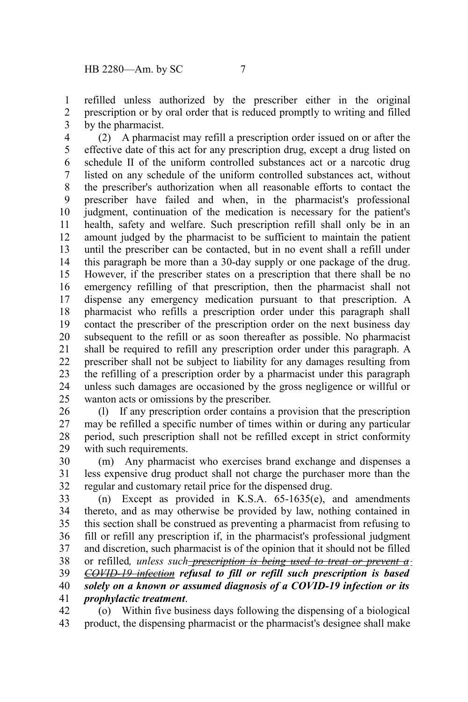refilled unless authorized by the prescriber either in the original prescription or by oral order that is reduced promptly to writing and filled by the pharmacist. 1 2 3

(2) A pharmacist may refill a prescription order issued on or after the effective date of this act for any prescription drug, except a drug listed on schedule II of the uniform controlled substances act or a narcotic drug listed on any schedule of the uniform controlled substances act, without the prescriber's authorization when all reasonable efforts to contact the prescriber have failed and when, in the pharmacist's professional judgment, continuation of the medication is necessary for the patient's health, safety and welfare. Such prescription refill shall only be in an amount judged by the pharmacist to be sufficient to maintain the patient until the prescriber can be contacted, but in no event shall a refill under this paragraph be more than a 30-day supply or one package of the drug. However, if the prescriber states on a prescription that there shall be no emergency refilling of that prescription, then the pharmacist shall not dispense any emergency medication pursuant to that prescription. A pharmacist who refills a prescription order under this paragraph shall contact the prescriber of the prescription order on the next business day subsequent to the refill or as soon thereafter as possible. No pharmacist shall be required to refill any prescription order under this paragraph. A prescriber shall not be subject to liability for any damages resulting from the refilling of a prescription order by a pharmacist under this paragraph unless such damages are occasioned by the gross negligence or willful or wanton acts or omissions by the prescriber. 4 5 6 7 8 9 10 11 12 13 14 15 16 17 18 19 20 21 22 23 24 25

(l) If any prescription order contains a provision that the prescription may be refilled a specific number of times within or during any particular period, such prescription shall not be refilled except in strict conformity with such requirements. 26 27 28 29

(m) Any pharmacist who exercises brand exchange and dispenses a less expensive drug product shall not charge the purchaser more than the regular and customary retail price for the dispensed drug. 30 31 32

(n) Except as provided in K.S.A. 65-1635(e), and amendments thereto, and as may otherwise be provided by law, nothing contained in this section shall be construed as preventing a pharmacist from refusing to fill or refill any prescription if, in the pharmacist's professional judgment and discretion, such pharmacist is of the opinion that it should not be filled or refilled*, unless such prescription is being used to treat or prevent a COVID-19 infection refusal to fill or refill such prescription is based solely on a known or assumed diagnosis of a COVID-19 infection or its* 33 34 35 36 37 38 39 40

*prophylactic treatment*. 41

(o) Within five business days following the dispensing of a biological product, the dispensing pharmacist or the pharmacist's designee shall make 42 43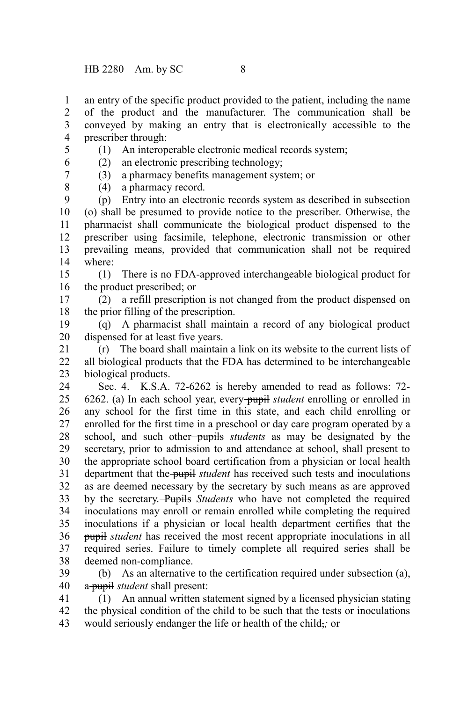an entry of the specific product provided to the patient, including the name of the product and the manufacturer. The communication shall be conveyed by making an entry that is electronically accessible to the prescriber through: 1 2 3 4

5 6

7 8 (1) An interoperable electronic medical records system;

(2) an electronic prescribing technology;

- (3) a pharmacy benefits management system; or
- (4) a pharmacy record.

(p) Entry into an electronic records system as described in subsection (o) shall be presumed to provide notice to the prescriber. Otherwise, the pharmacist shall communicate the biological product dispensed to the prescriber using facsimile, telephone, electronic transmission or other prevailing means, provided that communication shall not be required where: 9 10 11 12 13 14

(1) There is no FDA-approved interchangeable biological product for the product prescribed; or 15 16

(2) a refill prescription is not changed from the product dispensed on the prior filling of the prescription. 17 18

(q) A pharmacist shall maintain a record of any biological product dispensed for at least five years. 19 20

(r) The board shall maintain a link on its website to the current lists of all biological products that the FDA has determined to be interchangeable biological products. 21  $22$ 23

Sec. 4. K.S.A. 72-6262 is hereby amended to read as follows: 72- 6262. (a) In each school year, every pupil *student* enrolling or enrolled in any school for the first time in this state, and each child enrolling or enrolled for the first time in a preschool or day care program operated by a school, and such other-pupils *students* as may be designated by the secretary, prior to admission to and attendance at school, shall present to the appropriate school board certification from a physician or local health department that the pupil *student* has received such tests and inoculations as are deemed necessary by the secretary by such means as are approved by the secretary. Pupils *Students* who have not completed the required inoculations may enroll or remain enrolled while completing the required inoculations if a physician or local health department certifies that the pupil *student* has received the most recent appropriate inoculations in all required series. Failure to timely complete all required series shall be deemed non-compliance. 24 25 26 27 28 29 30 31 32 33 34 35 36 37 38

(b) As an alternative to the certification required under subsection (a), a pupil *student* shall present: 39 40

(1) An annual written statement signed by a licensed physician stating the physical condition of the child to be such that the tests or inoculations would seriously endanger the life or health of the child,*;* or 41 42 43